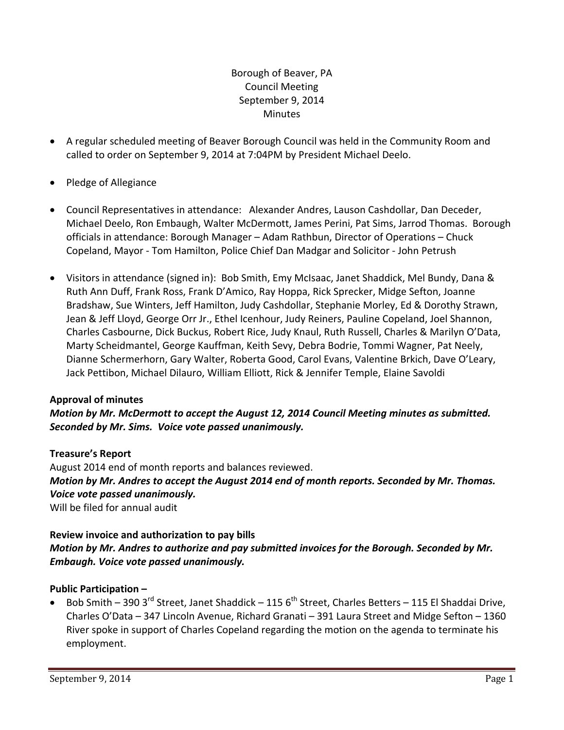# Borough of Beaver, PA Council Meeting September 9, 2014 **Minutes**

- A regular scheduled meeting of Beaver Borough Council was held in the Community Room and called to order on September 9, 2014 at 7:04PM by President Michael Deelo.
- Pledge of Allegiance
- Council Representatives in attendance: Alexander Andres, Lauson Cashdollar, Dan Deceder, Michael Deelo, Ron Embaugh, Walter McDermott, James Perini, Pat Sims, Jarrod Thomas. Borough officials in attendance: Borough Manager – Adam Rathbun, Director of Operations – Chuck Copeland, Mayor ‐ Tom Hamilton, Police Chief Dan Madgar and Solicitor ‐ John Petrush
- Visitors in attendance (signed in): Bob Smith, Emy McIsaac, Janet Shaddick, Mel Bundy, Dana & Ruth Ann Duff, Frank Ross, Frank D'Amico, Ray Hoppa, Rick Sprecker, Midge Sefton, Joanne Bradshaw, Sue Winters, Jeff Hamilton, Judy Cashdollar, Stephanie Morley, Ed & Dorothy Strawn, Jean & Jeff Lloyd, George Orr Jr., Ethel Icenhour, Judy Reiners, Pauline Copeland, Joel Shannon, Charles Casbourne, Dick Buckus, Robert Rice, Judy Knaul, Ruth Russell, Charles & Marilyn O'Data, Marty Scheidmantel, George Kauffman, Keith Sevy, Debra Bodrie, Tommi Wagner, Pat Neely, Dianne Schermerhorn, Gary Walter, Roberta Good, Carol Evans, Valentine Brkich, Dave O'Leary, Jack Pettibon, Michael Dilauro, William Elliott, Rick & Jennifer Temple, Elaine Savoldi

# **Approval of minutes**

## *Motion by Mr. McDermott to accept the August 12, 2014 Council Meeting minutes as submitted. Seconded by Mr. Sims. Voice vote passed unanimously.*

## **Treasure's Report**

August 2014 end of month reports and balances reviewed. *Motion by Mr. Andres to accept the August 2014 end of month reports. Seconded by Mr. Thomas. Voice vote passed unanimously.*

Will be filed for annual audit

## **Review invoice and authorization to pay bills** *Motion by Mr. Andres to authorize and pay submitted invoices for the Borough. Seconded by Mr. Embaugh. Voice vote passed unanimously.*

# **Public Participation –**

Bob Smith – 390 3<sup>rd</sup> Street, Janet Shaddick – 115 6<sup>th</sup> Street, Charles Betters – 115 El Shaddai Drive, Charles O'Data – 347 Lincoln Avenue, Richard Granati – 391 Laura Street and Midge Sefton – 1360 River spoke in support of Charles Copeland regarding the motion on the agenda to terminate his employment.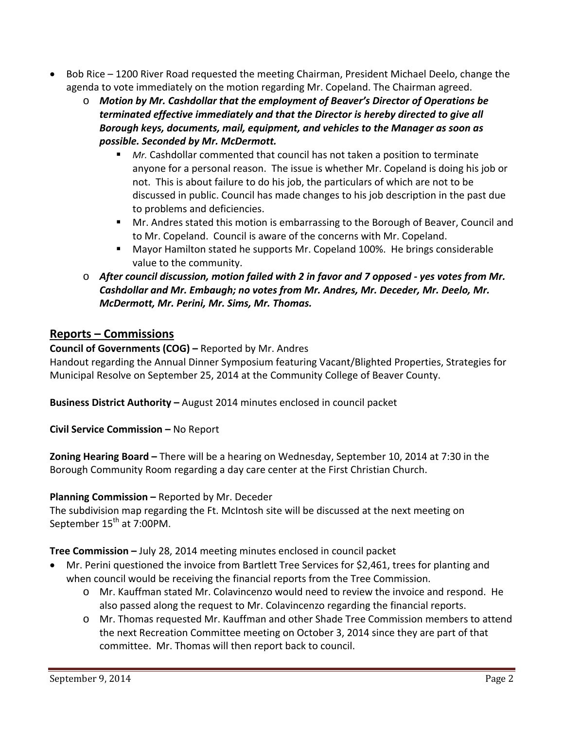- Bob Rice 1200 River Road requested the meeting Chairman, President Michael Deelo, change the agenda to vote immediately on the motion regarding Mr. Copeland. The Chairman agreed.
	- o *Motion by Mr. Cashdollar that the employment of Beaver's Director of Operations be terminated effective immediately and that the Director is hereby directed to give all Borough keys, documents, mail, equipment, and vehicles to the Manager as soon as possible. Seconded by Mr. McDermott.* 
		- *Mr.* Cashdollar commented that council has not taken a position to terminate anyone for a personal reason. The issue is whether Mr. Copeland is doing his job or not. This is about failure to do his job, the particulars of which are not to be discussed in public. Council has made changes to his job description in the past due to problems and deficiencies.
		- **Mr.** Andres stated this motion is embarrassing to the Borough of Beaver, Council and to Mr. Copeland. Council is aware of the concerns with Mr. Copeland.
		- Mayor Hamilton stated he supports Mr. Copeland 100%. He brings considerable value to the community.
	- o *After council discussion, motion failed with 2 in favor and 7 opposed ‐ yes votes from Mr. Cashdollar and Mr. Embaugh; no votes from Mr. Andres, Mr. Deceder, Mr. Deelo, Mr. McDermott, Mr. Perini, Mr. Sims, Mr. Thomas.*

# **Reports – Commissions**

# **Council of Governments (COG) –** Reported by Mr. Andres

Handout regarding the Annual Dinner Symposium featuring Vacant/Blighted Properties, Strategies for Municipal Resolve on September 25, 2014 at the Community College of Beaver County.

**Business District Authority –** August 2014 minutes enclosed in council packet

**Civil Service Commission –** No Report

**Zoning Hearing Board –** There will be a hearing on Wednesday, September 10, 2014 at 7:30 in the Borough Community Room regarding a day care center at the First Christian Church.

# **Planning Commission –** Reported by Mr. Deceder

The subdivision map regarding the Ft. McIntosh site will be discussed at the next meeting on September 15<sup>th</sup> at 7:00PM.

**Tree Commission –** July 28, 2014 meeting minutes enclosed in council packet

- Mr. Perini questioned the invoice from Bartlett Tree Services for \$2,461, trees for planting and when council would be receiving the financial reports from the Tree Commission.
	- o Mr. Kauffman stated Mr. Colavincenzo would need to review the invoice and respond. He also passed along the request to Mr. Colavincenzo regarding the financial reports.
	- o Mr. Thomas requested Mr. Kauffman and other Shade Tree Commission members to attend the next Recreation Committee meeting on October 3, 2014 since they are part of that committee. Mr. Thomas will then report back to council.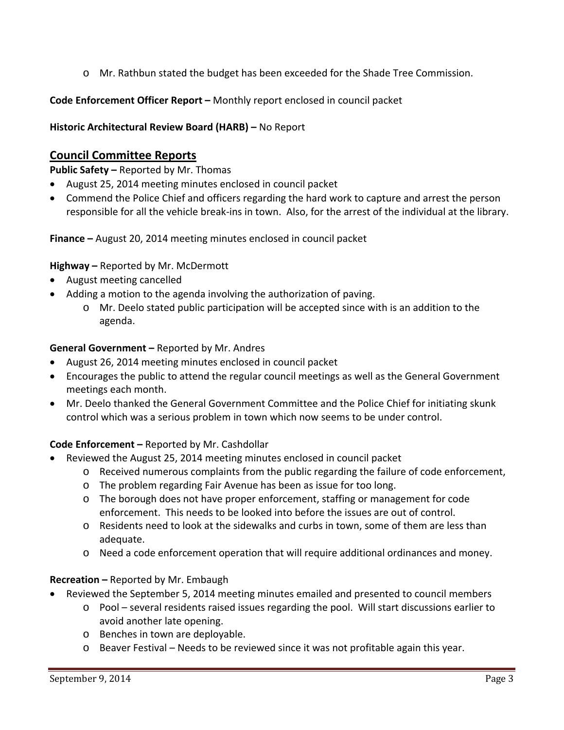o Mr. Rathbun stated the budget has been exceeded for the Shade Tree Commission.

**Code Enforcement Officer Report –** Monthly report enclosed in council packet

**Historic Architectural Review Board (HARB) –** No Report

# **Council Committee Reports**

**Public Safety –** Reported by Mr. Thomas

- August 25, 2014 meeting minutes enclosed in council packet
- Commend the Police Chief and officers regarding the hard work to capture and arrest the person responsible for all the vehicle break‐ins in town. Also, for the arrest of the individual at the library.

**Finance –** August 20, 2014 meeting minutes enclosed in council packet

## **Highway –** Reported by Mr. McDermott

- August meeting cancelled
- Adding a motion to the agenda involving the authorization of paving.
	- o Mr. Deelo stated public participation will be accepted since with is an addition to the agenda.

## **General Government –** Reported by Mr. Andres

- August 26, 2014 meeting minutes enclosed in council packet
- Encourages the public to attend the regular council meetings as well as the General Government meetings each month.
- Mr. Deelo thanked the General Government Committee and the Police Chief for initiating skunk control which was a serious problem in town which now seems to be under control.

# **Code Enforcement –** Reported by Mr. Cashdollar

- Reviewed the August 25, 2014 meeting minutes enclosed in council packet
	- o Received numerous complaints from the public regarding the failure of code enforcement,
	- o The problem regarding Fair Avenue has been as issue for too long.
	- o The borough does not have proper enforcement, staffing or management for code enforcement. This needs to be looked into before the issues are out of control.
	- o Residents need to look at the sidewalks and curbs in town, some of them are less than adequate.
	- o Need a code enforcement operation that will require additional ordinances and money.

# **Recreation –** Reported by Mr. Embaugh

- Reviewed the September 5, 2014 meeting minutes emailed and presented to council members
	- o Pool several residents raised issues regarding the pool. Will start discussions earlier to avoid another late opening.
	- o Benches in town are deployable.
	- $\circ$  Beaver Festival Needs to be reviewed since it was not profitable again this year.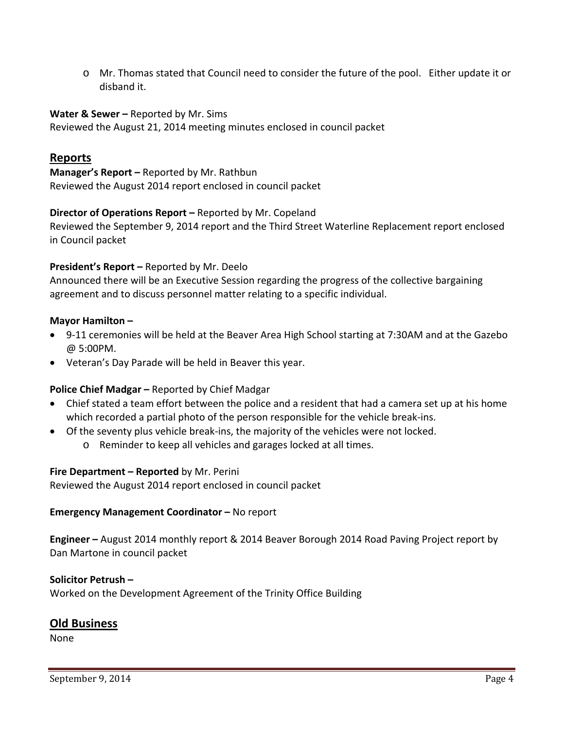o Mr. Thomas stated that Council need to consider the future of the pool. Either update it or disband it.

#### **Water & Sewer –** Reported by Mr. Sims

Reviewed the August 21, 2014 meeting minutes enclosed in council packet

## **Reports**

**Manager's Report –** Reported by Mr. Rathbun Reviewed the August 2014 report enclosed in council packet

#### **Director of Operations Report –** Reported by Mr. Copeland

Reviewed the September 9, 2014 report and the Third Street Waterline Replacement report enclosed in Council packet

#### **President's Report –** Reported by Mr. Deelo

Announced there will be an Executive Session regarding the progress of the collective bargaining agreement and to discuss personnel matter relating to a specific individual.

#### **Mayor Hamilton –**

- 9-11 ceremonies will be held at the Beaver Area High School starting at 7:30AM and at the Gazebo @ 5:00PM.
- Veteran's Day Parade will be held in Beaver this year.

#### **Police Chief Madgar –** Reported by Chief Madgar

- Chief stated a team effort between the police and a resident that had a camera set up at his home which recorded a partial photo of the person responsible for the vehicle break-ins.
- Of the seventy plus vehicle break‐ins, the majority of the vehicles were not locked.
	- o Reminder to keep all vehicles and garages locked at all times.

#### **Fire Department – Reported** by Mr. Perini

Reviewed the August 2014 report enclosed in council packet

#### **Emergency Management Coordinator –** No report

**Engineer –** August 2014 monthly report & 2014 Beaver Borough 2014 Road Paving Project report by Dan Martone in council packet

#### **Solicitor Petrush –**

Worked on the Development Agreement of the Trinity Office Building

#### **Old Business**

None